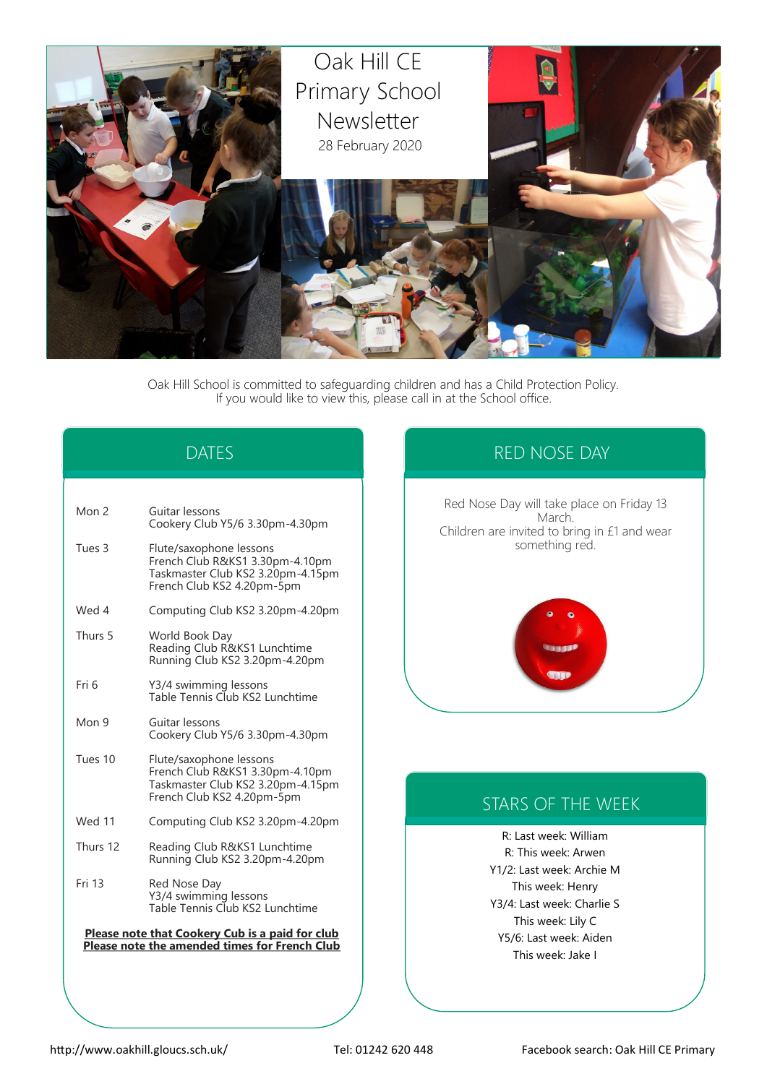

Oak Hill School is committed to safeguarding children and has a Child Protection Policy. If you would like to view this, please call in at the School office.

# DATES

| Mon 2                                                                                            | Guitar lessons<br>Cookery Club Y5/6 3.30pm-4.30pm                                                                             |  |
|--------------------------------------------------------------------------------------------------|-------------------------------------------------------------------------------------------------------------------------------|--|
| Tues 3                                                                                           | Flute/saxophone lessons<br>French Club R&KS1 3.30pm-4.10pm<br>Taskmaster Club KS2 3.20pm-4.15pm<br>French Club KS2 4.20pm-5pm |  |
| Wed 4                                                                                            | Computing Club KS2 3.20pm-4.20pm                                                                                              |  |
| Thurs 5                                                                                          | World Book Day<br>Reading Club R&KS1 Lunchtime<br>Running Club KS2 3.20pm-4.20pm                                              |  |
| Fri 6                                                                                            | Y3/4 swimming lessons<br>Table Tennis Club KS2 Lunchtime                                                                      |  |
| Mon 9                                                                                            | Guitar lessons<br>Cookery Club Y5/6 3.30pm-4.30pm                                                                             |  |
| Tues 10                                                                                          | Flute/saxophone lessons<br>French Club R&KS1 3.30pm-4.10pm<br>Taskmaster Club KS2 3.20pm-4.15pm<br>French Club KS2 4.20pm-5pm |  |
| <b>Wed 11</b>                                                                                    | Computing Club KS2 3.20pm-4.20pm                                                                                              |  |
| Thurs 12                                                                                         | Reading Club R&KS1 Lunchtime<br>Running Club KS2 3.20pm-4.20pm                                                                |  |
| Fri 13                                                                                           | Red Nose Day<br>Y3/4 swimming lessons<br>Table Tennis Club KS2 Lunchtime                                                      |  |
| Please note that Cookery Cub is a paid for club<br>Please note the amended times for French Club |                                                                                                                               |  |

# RED NOSE DAY

Red Nose Day will take place on Friday 13 March. Children are invited to bring in £1 and wear something red.



# STARS OF THE WEEK

R: Last week: William R: This week: Arwen Y1/2: Last week: Archie M This week: Henry Y3/4: Last week: Charlie S This week: Lily C Y5/6: Last week: Aiden This week: Jake I